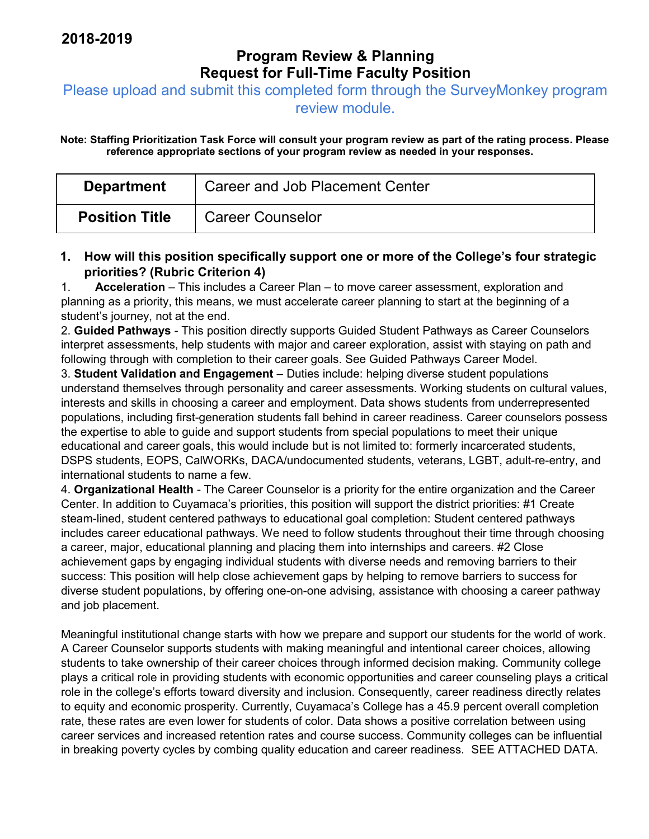# Program Review & Planning Request for Full-Time Faculty Position

Please upload and submit this completed form through the SurveyMonkey program

review module.

Note: Staffing Prioritization Task Force will consult your program review as part of the rating process. Please reference appropriate sections of your program review as needed in your responses.

| <b>Department</b>     | <b>Career and Job Placement Center</b> |
|-----------------------|----------------------------------------|
| <b>Position Title</b> | <b>Career Counselor</b>                |

#### 1. How will this position specifically support one or more of the College's four strategic priorities? (Rubric Criterion 4)

1. Acceleration – This includes a Career Plan – to move career assessment, exploration and planning as a priority, this means, we must accelerate career planning to start at the beginning of a student's journey, not at the end.

2. Guided Pathways - This position directly supports Guided Student Pathways as Career Counselors interpret assessments, help students with major and career exploration, assist with staying on path and following through with completion to their career goals. See Guided Pathways Career Model.

3. Student Validation and Engagement – Duties include: helping diverse student populations understand themselves through personality and career assessments. Working students on cultural values, interests and skills in choosing a career and employment. Data shows students from underrepresented populations, including first-generation students fall behind in career readiness. Career counselors possess the expertise to able to guide and support students from special populations to meet their unique educational and career goals, this would include but is not limited to: formerly incarcerated students, DSPS students, EOPS, CalWORKs, DACA/undocumented students, veterans, LGBT, adult-re-entry, and international students to name a few.

4. Organizational Health - The Career Counselor is a priority for the entire organization and the Career Center. In addition to Cuyamaca's priorities, this position will support the district priorities: #1 Create steam-lined, student centered pathways to educational goal completion: Student centered pathways includes career educational pathways. We need to follow students throughout their time through choosing a career, major, educational planning and placing them into internships and careers. #2 Close achievement gaps by engaging individual students with diverse needs and removing barriers to their success: This position will help close achievement gaps by helping to remove barriers to success for diverse student populations, by offering one-on-one advising, assistance with choosing a career pathway and job placement.

Meaningful institutional change starts with how we prepare and support our students for the world of work. A Career Counselor supports students with making meaningful and intentional career choices, allowing students to take ownership of their career choices through informed decision making. Community college plays a critical role in providing students with economic opportunities and career counseling plays a critical role in the college's efforts toward diversity and inclusion. Consequently, career readiness directly relates to equity and economic prosperity. Currently, Cuyamaca's College has a 45.9 percent overall completion rate, these rates are even lower for students of color. Data shows a positive correlation between using career services and increased retention rates and course success. Community colleges can be influential in breaking poverty cycles by combing quality education and career readiness. SEE ATTACHED DATA.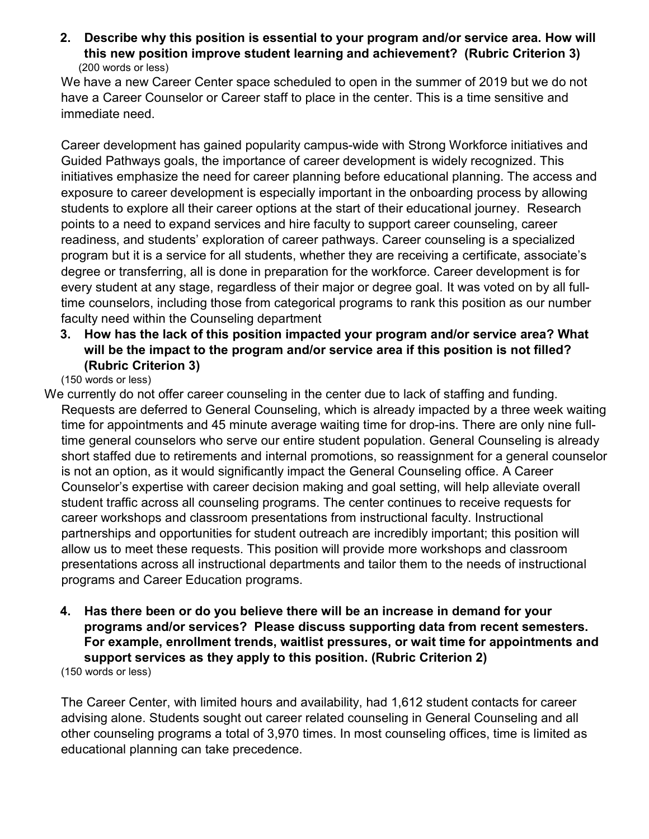2. Describe why this position is essential to your program and/or service area. How will this new position improve student learning and achievement? (Rubric Criterion 3) (200 words or less)

We have a new Career Center space scheduled to open in the summer of 2019 but we do not have a Career Counselor or Career staff to place in the center. This is a time sensitive and immediate need.

Career development has gained popularity campus-wide with Strong Workforce initiatives and Guided Pathways goals, the importance of career development is widely recognized. This initiatives emphasize the need for career planning before educational planning. The access and exposure to career development is especially important in the onboarding process by allowing students to explore all their career options at the start of their educational journey. Research points to a need to expand services and hire faculty to support career counseling, career readiness, and students' exploration of career pathways. Career counseling is a specialized program but it is a service for all students, whether they are receiving a certificate, associate's degree or transferring, all is done in preparation for the workforce. Career development is for every student at any stage, regardless of their major or degree goal. It was voted on by all fulltime counselors, including those from categorical programs to rank this position as our number faculty need within the Counseling department

3. How has the lack of this position impacted your program and/or service area? What will be the impact to the program and/or service area if this position is not filled? (Rubric Criterion 3)

(150 words or less)

- We currently do not offer career counseling in the center due to lack of staffing and funding. Requests are deferred to General Counseling, which is already impacted by a three week waiting time for appointments and 45 minute average waiting time for drop-ins. There are only nine fulltime general counselors who serve our entire student population. General Counseling is already short staffed due to retirements and internal promotions, so reassignment for a general counselor is not an option, as it would significantly impact the General Counseling office. A Career Counselor's expertise with career decision making and goal setting, will help alleviate overall student traffic across all counseling programs. The center continues to receive requests for career workshops and classroom presentations from instructional faculty. Instructional partnerships and opportunities for student outreach are incredibly important; this position will allow us to meet these requests. This position will provide more workshops and classroom presentations across all instructional departments and tailor them to the needs of instructional programs and Career Education programs.
	- 4. Has there been or do you believe there will be an increase in demand for your programs and/or services? Please discuss supporting data from recent semesters. For example, enrollment trends, waitlist pressures, or wait time for appointments and support services as they apply to this position. (Rubric Criterion 2)

(150 words or less)

The Career Center, with limited hours and availability, had 1,612 student contacts for career advising alone. Students sought out career related counseling in General Counseling and all other counseling programs a total of 3,970 times. In most counseling offices, time is limited as educational planning can take precedence.